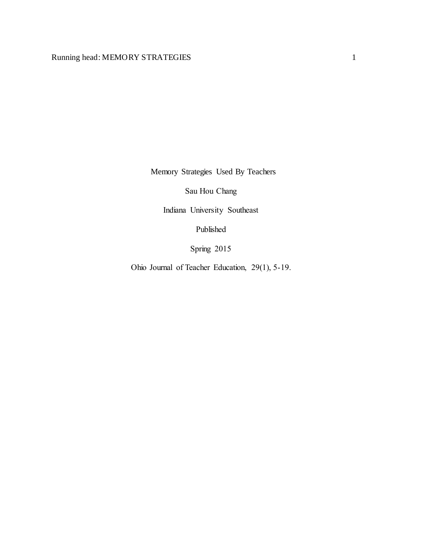Memory Strategies Used By Teachers

Sau Hou Chang

Indiana University Southeast

Published

Spring 2015

Ohio Journal of Teacher Education, 29(1), 5-19.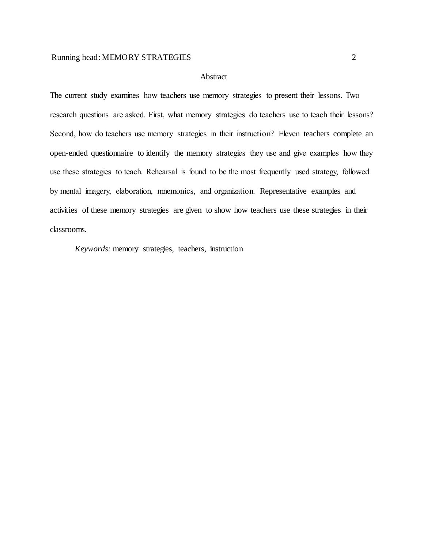## Abstract

The current study examines how teachers use memory strategies to present their lessons. Two research questions are asked. First, what memory strategies do teachers use to teach their lessons? Second, how do teachers use memory strategies in their instruction? Eleven teachers complete an open-ended questionnaire to identify the memory strategies they use and give examples how they use these strategies to teach. Rehearsal is found to be the most frequently used strategy, followed by mental imagery, elaboration, mnemonics, and organization. Representative examples and activities of these memory strategies are given to show how teachers use these strategies in their classrooms.

*Keywords:* memory strategies, teachers, instruction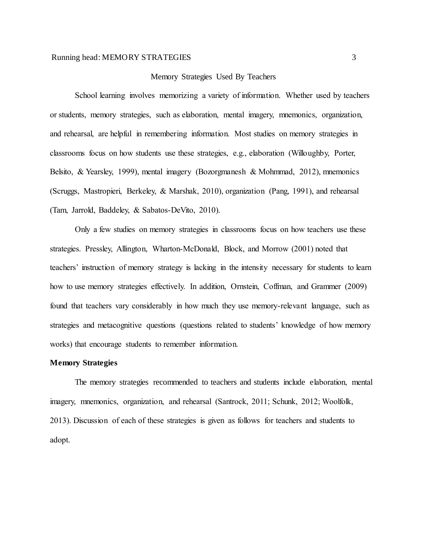#### Memory Strategies Used By Teachers

School learning involves memorizing a variety of information. Whether used by teachers or students, memory strategies, such as elaboration, mental imagery, mnemonics, organization, and rehearsal, are helpful in remembering information. Most studies on memory strategies in classrooms focus on how students use these strategies, e.g., elaboration (Willoughby, Porter, Belsito, & Yearsley, 1999), mental imagery (Bozorgmanesh & Mohmmad, 2012), mnemonics (Scruggs, Mastropieri, Berkeley, & Marshak, 2010), organization (Pang, 1991), and rehearsal (Tam, Jarrold, Baddeley, & Sabatos-DeVito, 2010).

Only a few studies on memory strategies in classrooms focus on how teachers use these strategies. Pressley, Allington, Wharton-McDonald, Block, and Morrow (2001) noted that teachers' instruction of memory strategy is lacking in the intensity necessary for students to learn how to use memory strategies effectively. In addition, Ornstein, Coffman, and Grammer (2009) found that teachers vary considerably in how much they use memory-relevant language, such as strategies and metacognitive questions (questions related to students' knowledge of how memory works) that encourage students to remember information.

#### **Memory Strategies**

The memory strategies recommended to teachers and students include elaboration, mental imagery, mnemonics, organization, and rehearsal (Santrock, 2011; Schunk, 2012; Woolfolk, 2013). Discussion of each of these strategies is given as follows for teachers and students to adopt.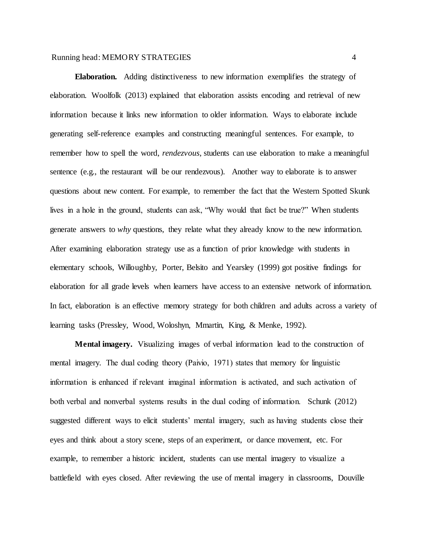**Elaboration.** Adding distinctiveness to new information exemplifies the strategy of elaboration. Woolfolk (2013) explained that elaboration assists encoding and retrieval of new information because it links new information to older information. Ways to elaborate include generating self-reference examples and constructing meaningful sentences. For example, to remember how to spell the word, *rendezvous*, students can use elaboration to make a meaningful sentence (e.g., the restaurant will be our rendezvous). Another way to elaborate is to answer questions about new content. For example, to remember the fact that the Western Spotted Skunk lives in a hole in the ground, students can ask, "Why would that fact be true?" When students generate answers to *why* questions, they relate what they already know to the new information. After examining elaboration strategy use as a function of prior knowledge with students in elementary schools, Willoughby, Porter, Belsito and Yearsley (1999) got positive findings for elaboration for all grade levels when learners have access to an extensive network of information. In fact, elaboration is an effective memory strategy for both children and adults across a variety of learning tasks (Pressley, Wood, Woloshyn, Mmartin, King, & Menke, 1992).

**Mental imagery.** Visualizing images of verbal information lead to the construction of mental imagery. The dual coding theory (Paivio, 1971) states that memory for linguistic information is enhanced if relevant imaginal information is activated, and such activation of both verbal and nonverbal systems results in the dual coding of information. Schunk (2012) suggested different ways to elicit students' mental imagery, such as having students close their eyes and think about a story scene, steps of an experiment, or dance movement, etc. For example, to remember a historic incident, students can use mental imagery to visualize a battlefield with eyes closed. After reviewing the use of mental imagery in classrooms, Douville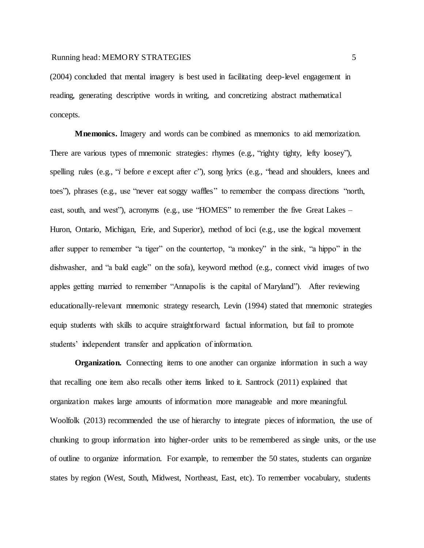(2004) concluded that mental imagery is best used in facilitating deep-level engagement in reading, generating descriptive words in writing, and concretizing abstract mathematical concepts.

**Mnemonics.** Imagery and words can be combined as mnemonics to aid memorization. There are various types of mnemonic strategies: rhymes (e.g., "righty tighty, lefty loosey"), spelling rules (e.g., "*i* before *e* except after *c*"), song lyrics (e.g., "head and shoulders, knees and toes"), phrases (e.g., use "never eat soggy waffles" to remember the compass directions "north, east, south, and west"), acronyms (e.g., use "HOMES" to remember the five Great Lakes – Huron, Ontario, Michigan, Erie, and Superior), method of loci (e.g., use the logical movement after supper to remember "a tiger" on the countertop, "a monkey" in the sink, "a hippo" in the dishwasher, and "a bald eagle" on the sofa), keyword method (e.g., connect vivid images of two apples getting married to remember "Annapolis is the capital of Maryland"). After reviewing educationally-relevant mnemonic strategy research, Levin (1994) stated that mnemonic strategies equip students with skills to acquire straightforward factual information, but fail to promote students' independent transfer and application of information.

**Organization.** Connecting items to one another can organize information in such a way that recalling one item also recalls other items linked to it. Santrock (2011) explained that organization makes large amounts of information more manageable and more meaningful. Woolfolk (2013) recommended the use of hierarchy to integrate pieces of information, the use of chunking to group information into higher-order units to be remembered as single units, or the use of outline to organize information. For example, to remember the 50 states, students can organize states by region (West, South, Midwest, Northeast, East, etc). To remember vocabulary, students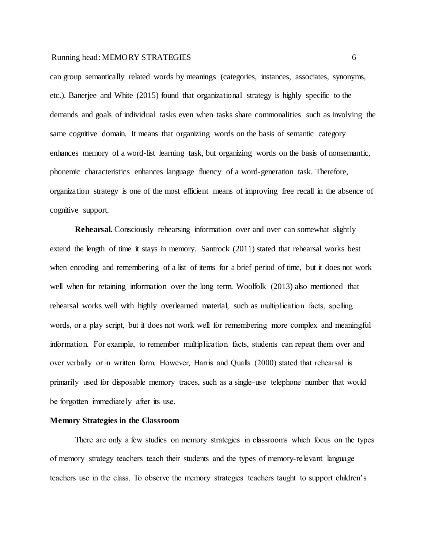can group semantically related words by meanings (categories, instances, associates, synonyms, etc.). Banerjee and White (2015) found that organizational strategy is highly specific to the demands and goals of individual tasks even when tasks share commonalities such as involving the same cognitive domain. It means that organizing words on the basis of semantic category enhances memory of a word-list learning task, but organizing words on the basis of nonsemantic, phonemic characteristics enhances language fluency of a word-generation task. Therefore, organization strategy is one of the most efficient means of improving free recall in the absence of cognitive support.

**Rehearsal.** Consciously rehearsing information over and over can somewhat slightly extend the length of time it stays in memory. Santrock (2011) stated that rehearsal works best when encoding and remembering of a list of items for a brief period of time, but it does not work well when for retaining information over the long term. Woolfolk (2013) also mentioned that rehearsal works well with highly overlearned material, such as multiplication facts, spelling words, or a play script, but it does not work well for remembering more complex and meaningful information. For example, to remember multiplication facts, students can repeat them over and over verbally or in written form. However, Harris and Qualls (2000) stated that rehearsal is primarily used for disposable memory traces, such as a single-use telephone number that would be forgotten immediately after its use.

## **Memory Strategies in the Classroom**

There are only a few studies on memory strategies in classrooms which focus on the types of memory strategy teachers teach their students and the types of memory-relevant language teachers use in the class. To observe the memory strategies teachers taught to support children's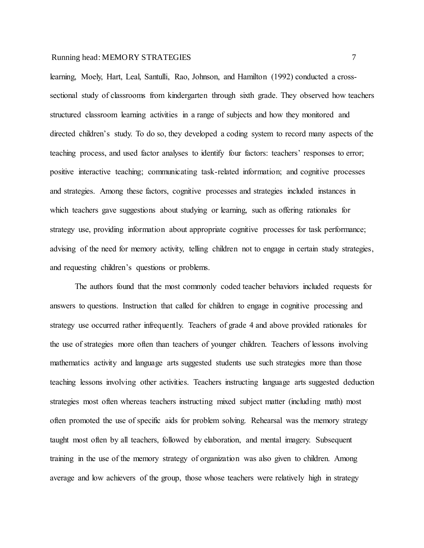learning, Moely, Hart, Leal, Santulli, Rao, Johnson, and Hamilton (1992) conducted a crosssectional study of classrooms from kindergarten through sixth grade. They observed how teachers structured classroom learning activities in a range of subjects and how they monitored and directed children's study. To do so, they developed a coding system to record many aspects of the teaching process, and used factor analyses to identify four factors: teachers' responses to error; positive interactive teaching; communicating task-related information; and cognitive processes and strategies. Among these factors, cognitive processes and strategies included instances in which teachers gave suggestions about studying or learning, such as offering rationales for strategy use, providing information about appropriate cognitive processes for task performance; advising of the need for memory activity, telling children not to engage in certain study strategies, and requesting children's questions or problems.

The authors found that the most commonly coded teacher behaviors included requests for answers to questions. Instruction that called for children to engage in cognitive processing and strategy use occurred rather infrequently. Teachers of grade 4 and above provided rationales for the use of strategies more often than teachers of younger children. Teachers of lessons involving mathematics activity and language arts suggested students use such strategies more than those teaching lessons involving other activities. Teachers instructing language arts suggested deduction strategies most often whereas teachers instructing mixed subject matter (including math) most often promoted the use of specific aids for problem solving. Rehearsal was the memory strategy taught most often by all teachers, followed by elaboration, and mental imagery. Subsequent training in the use of the memory strategy of organization was also given to children. Among average and low achievers of the group, those whose teachers were relatively high in strategy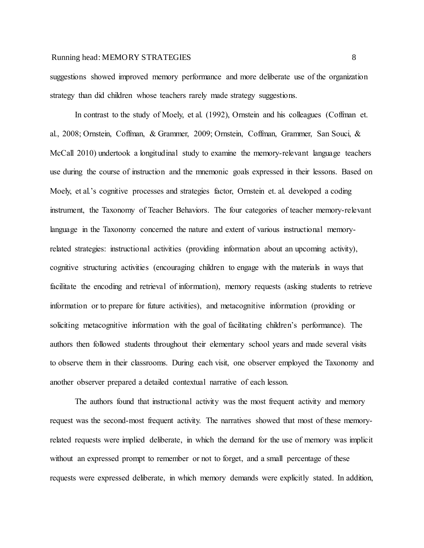suggestions showed improved memory performance and more deliberate use of the organization strategy than did children whose teachers rarely made strategy suggestions.

In contrast to the study of Moely, et al. (1992), Ornstein and his colleagues (Coffman et. al., 2008; Ornstein, Coffman, & Grammer, 2009; Ornstein, Coffman, Grammer, San Souci, & McCall 2010) undertook a longitudinal study to examine the memory-relevant language teachers use during the course of instruction and the mnemonic goals expressed in their lessons. Based on Moely, et al.'s cognitive processes and strategies factor, Ornstein et. al. developed a coding instrument, the Taxonomy of Teacher Behaviors. The four categories of teacher memory-relevant language in the Taxonomy concerned the nature and extent of various instructional memoryrelated strategies: instructional activities (providing information about an upcoming activity), cognitive structuring activities (encouraging children to engage with the materials in ways that facilitate the encoding and retrieval of information), memory requests (asking students to retrieve information or to prepare for future activities), and metacognitive information (providing or soliciting metacognitive information with the goal of facilitating children's performance). The authors then followed students throughout their elementary school years and made several visits to observe them in their classrooms. During each visit, one observer employed the Taxonomy and another observer prepared a detailed contextual narrative of each lesson.

The authors found that instructional activity was the most frequent activity and memory request was the second-most frequent activity. The narratives showed that most of these memoryrelated requests were implied deliberate, in which the demand for the use of memory was implicit without an expressed prompt to remember or not to forget, and a small percentage of these requests were expressed deliberate, in which memory demands were explicitly stated. In addition,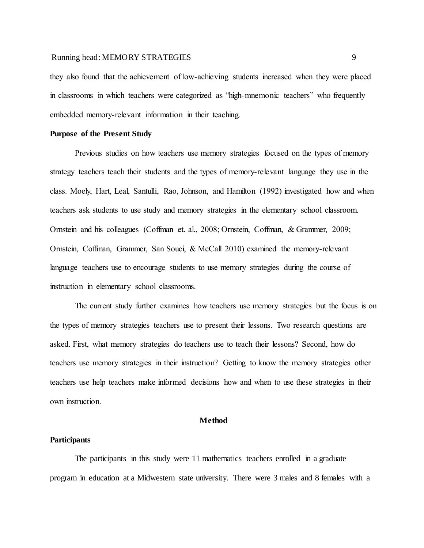they also found that the achievement of low-achieving students increased when they were placed in classrooms in which teachers were categorized as "high-mnemonic teachers" who frequently embedded memory-relevant information in their teaching.

#### **Purpose of the Present Study**

Previous studies on how teachers use memory strategies focused on the types of memory strategy teachers teach their students and the types of memory-relevant language they use in the class. Moely, Hart, Leal, Santulli, Rao, Johnson, and Hamilton (1992) investigated how and when teachers ask students to use study and memory strategies in the elementary school classroom. Ornstein and his colleagues (Coffman et. al., 2008; Ornstein, Coffman, & Grammer, 2009; Ornstein, Coffman, Grammer, San Souci, & McCall 2010) examined the memory-relevant language teachers use to encourage students to use memory strategies during the course of instruction in elementary school classrooms.

The current study further examines how teachers use memory strategies but the focus is on the types of memory strategies teachers use to present their lessons. Two research questions are asked. First, what memory strategies do teachers use to teach their lessons? Second, how do teachers use memory strategies in their instruction? Getting to know the memory strategies other teachers use help teachers make informed decisions how and when to use these strategies in their own instruction.

#### **Method**

#### **Participants**

The participants in this study were 11 mathematics teachers enrolled in a graduate program in education at a Midwestern state university. There were 3 males and 8 females with a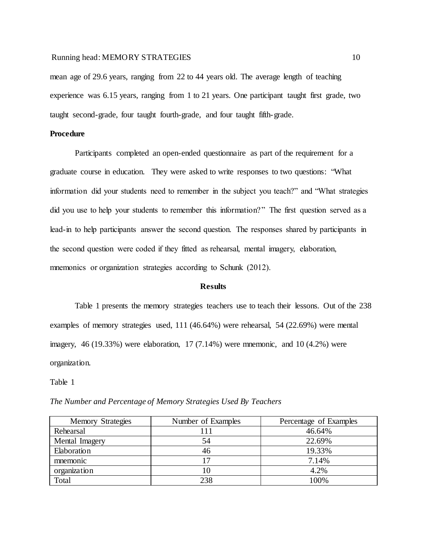mean age of 29.6 years, ranging from 22 to 44 years old. The average length of teaching experience was 6.15 years, ranging from 1 to 21 years. One participant taught first grade, two taught second-grade, four taught fourth-grade, and four taught fifth-grade.

## **Procedure**

Participants completed an open-ended questionnaire as part of the requirement for a graduate course in education. They were asked to write responses to two questions: "What information did your students need to remember in the subject you teach?" and "What strategies did you use to help your students to remember this information?" The first question served as a lead-in to help participants answer the second question. The responses shared by participants in the second question were coded if they fitted as rehearsal, mental imagery, elaboration, mnemonics or organization strategies according to Schunk (2012).

#### **Results**

Table 1 presents the memory strategies teachers use to teach their lessons. Out of the 238 examples of memory strategies used, 111 (46.64%) were rehearsal, 54 (22.69%) were mental imagery, 46 (19.33%) were elaboration, 17 (7.14%) were mnemonic, and 10 (4.2%) were organization.

| <b>Memory Strategies</b> | Number of Examples | Percentage of Examples |
|--------------------------|--------------------|------------------------|
| Rehearsal                | 111                | 46.64%                 |
| Mental Imagery           | 54                 | 22.69%                 |
| Elaboration              | 46                 | 19.33%                 |
| mnemonic                 | 17                 | 7.14%                  |
| organization             | 10                 | 4.2%                   |
| Total                    | 238                | 100%                   |

*The Number and Percentage of Memory Strategies Used By Teachers*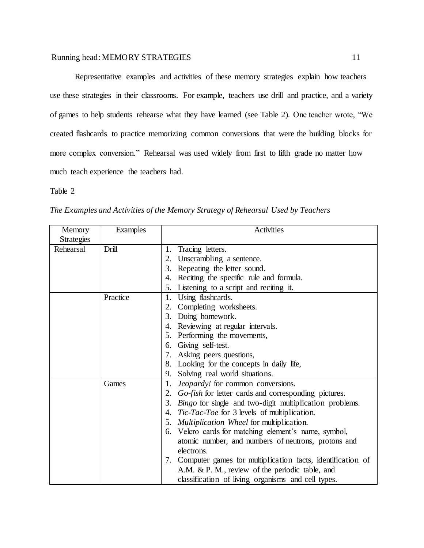Representative examples and activities of these memory strategies explain how teachers use these strategies in their classrooms. For example, teachers use drill and practice, and a variety of games to help students rehearse what they have learned (see Table 2). One teacher wrote, "We created flashcards to practice memorizing common conversions that were the building blocks for more complex conversion." Rehearsal was used widely from first to fifth grade no matter how much teach experience the teachers had.

| <i>Go-fish</i> for letter cards and corresponding pictures.    |
|----------------------------------------------------------------|
| <i>Bingo</i> for single and two-digit multiplication problems. |
|                                                                |
|                                                                |
| 6. Velcro cards for matching element's name, symbol,           |
| atomic number, and numbers of neutrons, protons and            |
|                                                                |
| 7. Computer games for multiplication facts, identification of  |
|                                                                |
|                                                                |
| classification of living organisms and cell types.             |

*The Examples and Activities of the Memory Strategy of Rehearsal Used by Teachers*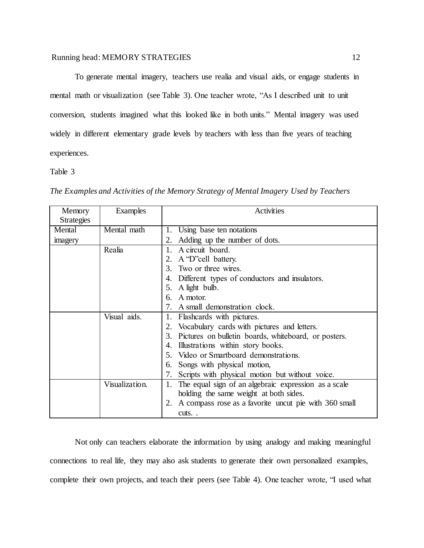To generate mental imagery, teachers use realia and visual aids, or engage students in mental math or visualization (see Table 3). One teacher wrote, "As I described unit to unit conversion, students imagined what this looked like in both units." Mental imagery was used widely in different elementary grade levels by teachers with less than five years of teaching experiences.

Table 3

| Memory            | Examples       | <b>Activities</b>                                          |
|-------------------|----------------|------------------------------------------------------------|
| <b>Strategies</b> |                |                                                            |
| Mental            | Mental math    | Using base ten notations<br>1.                             |
| imagery           |                | 2. Adding up the number of dots.                           |
|                   | Realia         | 1. A circuit board.                                        |
|                   |                | A 'D''cell battery.<br>2.                                  |
|                   |                | Two or three wires.<br>$\mathcal{E}$                       |
|                   |                | Different types of conductors and insulators.              |
|                   |                | A light bulb.<br>5.                                        |
|                   |                | A motor.<br>რ.                                             |
|                   |                | 7. A small demonstration clock.                            |
|                   | Visual aids.   | 1. Flashcards with pictures.                               |
|                   |                | 2. Vocabulary cards with pictures and letters.             |
|                   |                | 3. Pictures on bulletin boards, whiteboard, or posters.    |
|                   |                | Illustrations within story books.<br>4.                    |
|                   |                | Video or Smartboard demonstrations.<br>$5^{\circ}$         |
|                   |                | Songs with physical motion,<br>6.                          |
|                   |                | Scripts with physical motion but without voice.<br>7.      |
|                   | Visualization. | The equal sign of an algebraic expression as a scale<br>1. |
|                   |                | holding the same weight at both sides.                     |
|                   |                | 2. A compass rose as a favorite uncut pie with 360 small   |
|                   |                | cuts                                                       |

*The Examples and Activities of the Memory Strategy of Mental Imagery Used by Teachers* 

Not only can teachers elaborate the information by using analogy and making meaningful connections to real life, they may also ask students to generate their own personalized examples, complete their own projects, and teach their peers (see Table 4). One teacher wrote, "I used what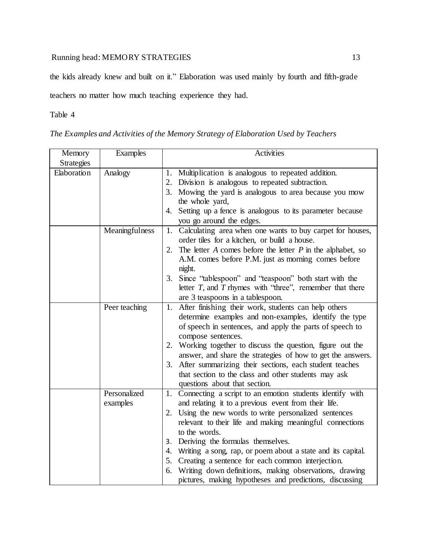the kids already knew and built on it." Elaboration was used mainly by fourth and fifth-grade

teachers no matter how much teaching experience they had.

|  | The Examples and Activities of the Memory Strategy of Elaboration Used by Teachers |  |  |  |  |
|--|------------------------------------------------------------------------------------|--|--|--|--|
|  |                                                                                    |  |  |  |  |

| Memory            | <b>Examples</b> | Activities                                                        |
|-------------------|-----------------|-------------------------------------------------------------------|
| <b>Strategies</b> |                 |                                                                   |
| Elaboration       | Analogy         | 1. Multiplication is analogous to repeated addition.              |
|                   |                 | 2. Division is analogous to repeated subtraction.                 |
|                   |                 | 3. Mowing the yard is analogous to area because you mow           |
|                   |                 | the whole yard,                                                   |
|                   |                 | 4. Setting up a fence is analogous to its parameter because       |
|                   |                 | you go around the edges.                                          |
|                   | Meaningfulness  | 1. Calculating area when one wants to buy carpet for houses,      |
|                   |                 | order tiles for a kitchen, or build a house.                      |
|                   |                 | 2. The letter $A$ comes before the letter $P$ in the alphabet, so |
|                   |                 | A.M. comes before P.M. just as morning comes before               |
|                   |                 | night.                                                            |
|                   |                 | Since "tablespoon" and "teaspoon" both start with the<br>3.       |
|                   |                 | letter $T$ , and $T$ rhymes with "three", remember that there     |
|                   |                 | are 3 teaspoons in a tablespoon.                                  |
|                   | Peer teaching   | 1. After finishing their work, students can help others           |
|                   |                 | determine examples and non-examples, identify the type            |
|                   |                 | of speech in sentences, and apply the parts of speech to          |
|                   |                 | compose sentences.                                                |
|                   |                 | 2. Working together to discuss the question, figure out the       |
|                   |                 | answer, and share the strategies of how to get the answers.       |
|                   |                 | 3. After summarizing their sections, each student teaches         |
|                   |                 | that section to the class and other students may ask              |
|                   |                 | questions about that section.                                     |
|                   | Personalized    | 1. Connecting a script to an emotion students identify with       |
|                   | examples        | and relating it to a previous event from their life.              |
|                   |                 | 2. Using the new words to write personalized sentences            |
|                   |                 | relevant to their life and making meaningful connections          |
|                   |                 | to the words.                                                     |
|                   |                 | 3. Deriving the formulas themselves.                              |
|                   |                 | 4. Writing a song, rap, or poem about a state and its capital.    |
|                   |                 | 5. Creating a sentence for each common interjection.              |
|                   |                 | 6. Writing down definitions, making observations, drawing         |
|                   |                 | pictures, making hypotheses and predictions, discussing           |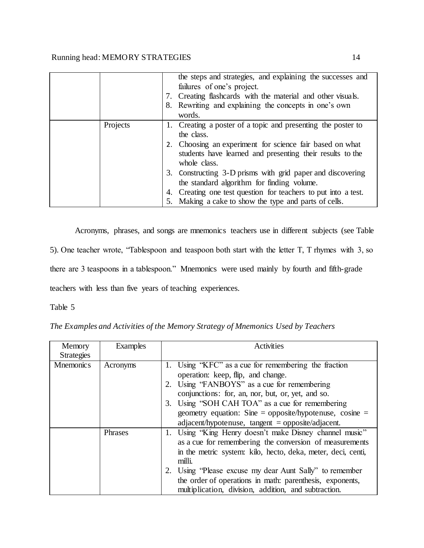|          | the steps and strategies, and explaining the successes and<br>failures of one's project.<br>7. Creating flashcards with the material and other visuals.<br>8. Rewriting and explaining the concepts in one's own<br>words.          |
|----------|-------------------------------------------------------------------------------------------------------------------------------------------------------------------------------------------------------------------------------------|
| Projects | 1. Creating a poster of a topic and presenting the poster to<br>the class.<br>2. Choosing an experiment for science fair based on what<br>students have learned and presenting their results to the<br>whole class.                 |
|          | 3. Constructing 3-D prisms with grid paper and discovering<br>the standard algorithm for finding volume.<br>4. Creating one test question for teachers to put into a test.<br>5. Making a cake to show the type and parts of cells. |

Acronyms, phrases, and songs are mnemonics teachers use in different subjects (see Table 5). One teacher wrote, "Tablespoon and teaspoon both start with the letter T, T rhymes with 3, so there are 3 teaspoons in a tablespoon." Mnemonics were used mainly by fourth and fifth-grade teachers with less than five years of teaching experiences.

| The Examples and Activities of the Memory Strategy of Mnemonics Used by Teachers |  |  |
|----------------------------------------------------------------------------------|--|--|
|                                                                                  |  |  |

| Memory            | Examples | Activities                                                                                                       |
|-------------------|----------|------------------------------------------------------------------------------------------------------------------|
| <b>Strategies</b> |          |                                                                                                                  |
| Mnemonics         | Acronyms | 1. Using "KFC" as a cue for remembering the fraction                                                             |
|                   |          | operation: keep, flip, and change.                                                                               |
|                   |          | 2. Using 'FANBOYS' as a cue for remembering                                                                      |
|                   |          | conjunctions: for, an, nor, but, or, yet, and so.                                                                |
|                   |          | 3. Using "SOH CAH TOA" as a cue for remembering                                                                  |
|                   |          | geometry equation: Sine = opposite/hypotenuse, cosine =                                                          |
|                   |          | $adjacent/hypotenuse$ , tangent = opposite/adjacent.                                                             |
|                   | Phrases  | 1. Using "King Henry doesn't make Disney channel music"                                                          |
|                   |          | as a cue for remembering the conversion of measurements                                                          |
|                   |          | in the metric system: kilo, hecto, deka, meter, deci, centi,<br>milli.                                           |
|                   |          | 2. Using 'Please excuse my dear Aunt Sally' to remember                                                          |
|                   |          | the order of operations in math: parenthesis, exponents,<br>multiplication, division, addition, and subtraction. |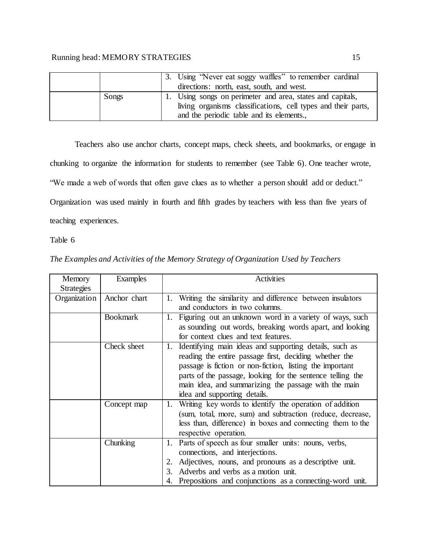|       | 3. Using "Never eat soggy waffles" to remember cardinal       |
|-------|---------------------------------------------------------------|
|       | directions: north, east, south, and west.                     |
| Songs | 1. Using songs on perimeter and area, states and capitals,    |
|       | living organisms classifications, cell types and their parts, |
|       | and the periodic table and its elements.,                     |

Teachers also use anchor charts, concept maps, check sheets, and bookmarks, or engage in chunking to organize the information for students to remember (see Table 6). One teacher wrote, "We made a web of words that often gave clues as to whether a person should add or deduct." Organization was used mainly in fourth and fifth grades by teachers with less than five years of teaching experiences.

| Memory<br><b>Strategies</b> | Examples        | <b>Activities</b>                                                                                                                                                                                                                                                                                                                     |
|-----------------------------|-----------------|---------------------------------------------------------------------------------------------------------------------------------------------------------------------------------------------------------------------------------------------------------------------------------------------------------------------------------------|
| Organization                | Anchor chart    | 1. Writing the similarity and difference between insulators<br>and conductors in two columns.                                                                                                                                                                                                                                         |
|                             | <b>Bookmark</b> | 1. Figuring out an unknown word in a variety of ways, such<br>as sounding out words, breaking words apart, and looking<br>for context clues and text features.                                                                                                                                                                        |
|                             | Check sheet     | 1. Identifying main ideas and supporting details, such as<br>reading the entire passage first, deciding whether the<br>passage is fiction or non-fiction, listing the important<br>parts of the passage, looking for the sentence telling the<br>main idea, and summarizing the passage with the main<br>idea and supporting details. |
|                             | Concept map     | 1. Writing key words to identify the operation of addition<br>(sum, total, more, sum) and subtraction (reduce, decrease,<br>less than, difference) in boxes and connecting them to the<br>respective operation.                                                                                                                       |
|                             | Chunking        | 1. Parts of speech as four smaller units: nouns, verbs,<br>connections, and interjections.<br>Adjectives, nouns, and pronouns as a descriptive unit.<br>2.<br>Adverbs and verbs as a motion unit.<br>3.<br>4. Prepositions and conjunctions as a connecting-word unit.                                                                |

*The Examples and Activities of the Memory Strategy of Organization Used by Teachers*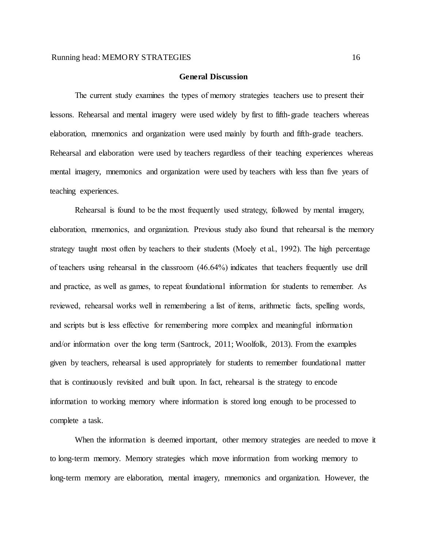#### **General Discussion**

The current study examines the types of memory strategies teachers use to present their lessons. Rehearsal and mental imagery were used widely by first to fifth-grade teachers whereas elaboration, mnemonics and organization were used mainly by fourth and fifth-grade teachers. Rehearsal and elaboration were used by teachers regardless of their teaching experiences whereas mental imagery, mnemonics and organization were used by teachers with less than five years of teaching experiences.

Rehearsal is found to be the most frequently used strategy, followed by mental imagery, elaboration, mnemonics, and organization. Previous study also found that rehearsal is the memory strategy taught most often by teachers to their students (Moely et al., 1992). The high percentage of teachers using rehearsal in the classroom (46.64%) indicates that teachers frequently use drill and practice, as well as games, to repeat foundational information for students to remember. As reviewed, rehearsal works well in remembering a list of items, arithmetic facts, spelling words, and scripts but is less effective for remembering more complex and meaningful information and/or information over the long term (Santrock, 2011; Woolfolk, 2013). From the examples given by teachers, rehearsal is used appropriately for students to remember foundational matter that is continuously revisited and built upon. In fact, rehearsal is the strategy to encode information to working memory where information is stored long enough to be processed to complete a task.

When the information is deemed important, other memory strategies are needed to move it to long-term memory. Memory strategies which move information from working memory to long-term memory are elaboration, mental imagery, mnemonics and organization. However, the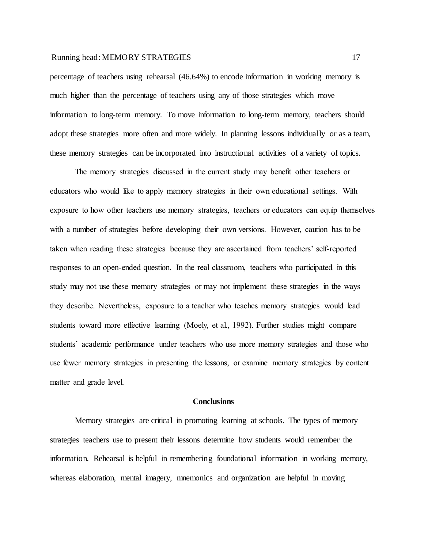percentage of teachers using rehearsal (46.64%) to encode information in working memory is much higher than the percentage of teachers using any of those strategies which move information to long-term memory. To move information to long-term memory, teachers should adopt these strategies more often and more widely. In planning lessons individually or as a team, these memory strategies can be incorporated into instructional activities of a variety of topics.

The memory strategies discussed in the current study may benefit other teachers or educators who would like to apply memory strategies in their own educational settings. With exposure to how other teachers use memory strategies, teachers or educators can equip themselves with a number of strategies before developing their own versions. However, caution has to be taken when reading these strategies because they are ascertained from teachers' self-reported responses to an open-ended question. In the real classroom, teachers who participated in this study may not use these memory strategies or may not implement these strategies in the ways they describe. Nevertheless, exposure to a teacher who teaches memory strategies would lead students toward more effective learning (Moely, et al., 1992). Further studies might compare students' academic performance under teachers who use more memory strategies and those who use fewer memory strategies in presenting the lessons, or examine memory strategies by content matter and grade level.

#### **Conclusions**

Memory strategies are critical in promoting learning at schools. The types of memory strategies teachers use to present their lessons determine how students would remember the information. Rehearsal is helpful in remembering foundational information in working memory, whereas elaboration, mental imagery, mnemonics and organization are helpful in moving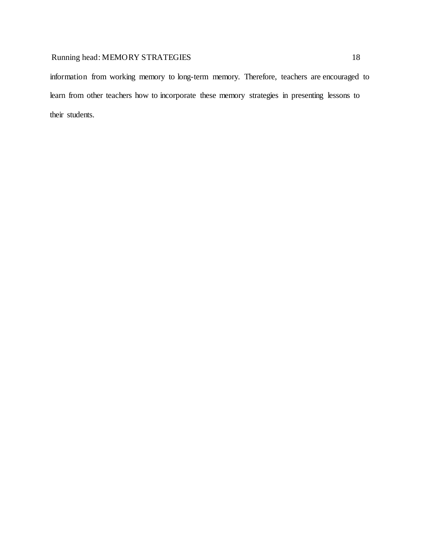information from working memory to long-term memory. Therefore, teachers are encouraged to learn from other teachers how to incorporate these memory strategies in presenting lessons to their students.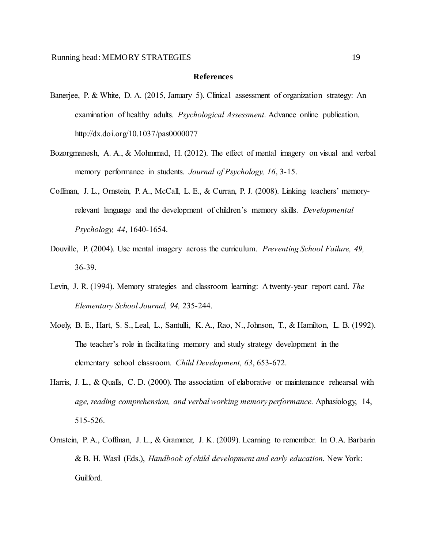#### **References**

- Banerjee, P. & White, D. A. (2015, January 5). Clinical assessment of organization strategy: An examination of healthy adults. *Psychological Assessment.* Advance online publication. <http://dx.doi.org/10.1037/pas0000077>
- Bozorgmanesh, A. A., & Mohmmad, H. (2012). The effect of mental imagery on visual and verbal memory performance in students. *Journal of Psychology, 16*, 3-15.
- Coffman, J. L., Ornstein, P. A., McCall, L. E., & Curran, P. J. (2008). Linking teachers' memoryrelevant language and the development of children's memory skills. *Developmental Psychology, 44*, 1640-1654.
- Douville, P. (2004). Use mental imagery across the curriculum. *Preventing School Failure, 49,* 36-39.
- Levin, J. R. (1994). Memory strategies and classroom learning: A twenty-year report card. *The Elementary School Journal, 94,* 235-244.
- Moely, B. E., Hart, S. S., Leal, L., Santulli, K. A., Rao, N., Johnson, T., & Hamilton, L. B. (1992). The teacher's role in facilitating memory and study strategy development in the elementary school classroom. *Child Development, 63*, 653-672.
- Harris, J. L., & Qualls, C. D. (2000). The association of elaborative or maintenance rehearsal with *age, reading comprehension, and verbal working memory performance.* Aphasiology, 14, 515-526.
- Ornstein, P. A., Coffman, J. L., & Grammer, J. K. (2009). Learning to remember. In O.A. Barbarin & B. H. Wasil (Eds.), *Handbook of child development and early education.* New York: Guilford.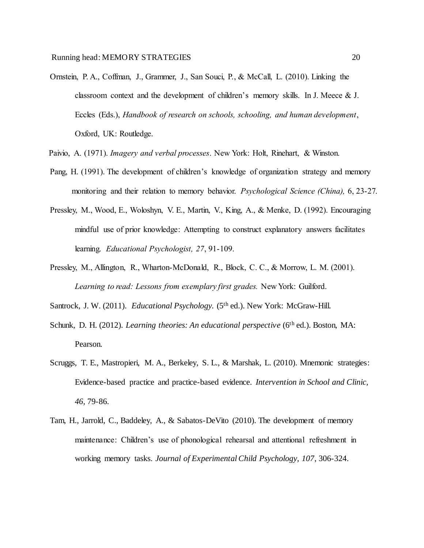- Ornstein, P. A., Coffman, J., Grammer, J., San Souci, P., & McCall, L. (2010). Linking the classroom context and the development of children's memory skills. In J. Meece & J. Eccles (Eds.), *Handbook of research on schools, schooling, and human development*, Oxford, UK: Routledge.
- Paivio, A. (1971). *Imagery and verbal processes*. New York: Holt, Rinehart, & Winston.
- Pang, H. (1991). The development of children's knowledge of organization strategy and memory monitoring and their relation to memory behavior. *Psychological Science (China),* 6, 23-27.
- Pressley, M., Wood, E., Woloshyn, V. E., Martin, V., King, A., & Menke, D. (1992). Encouraging mindful use of prior knowledge: Attempting to construct explanatory answers facilitates learning. *Educational Psychologist, 27*, 91-109.
- Pressley, M., Allington, R., Wharton-McDonald, R., Block, C. C., & Morrow, L. M. (2001). *Learning to read: Lessons from exemplary first grades.* New York: Guilford.
- Santrock, J. W. (2011). *Educational Psychology.* (5<sup>th</sup> ed.). New York: McGraw-Hill.
- Schunk, D. H. (2012). *Learning theories: An educational perspective* (6<sup>th</sup> ed.). Boston, MA: Pearson.
- Scruggs, T. E., Mastropieri, M. A., Berkeley, S. L., & Marshak, L. (2010). Mnemonic strategies: Evidence-based practice and practice-based evidence. *Intervention in School and Clinic, 46*, 79-86.
- Tam, H., Jarrold, C., Baddeley, A., & Sabatos-DeVito (2010). The development of memory maintenance: Children's use of phonological rehearsal and attentional refreshment in working memory tasks. *Journal of Experimental Child Psychology, 107*, 306-324.